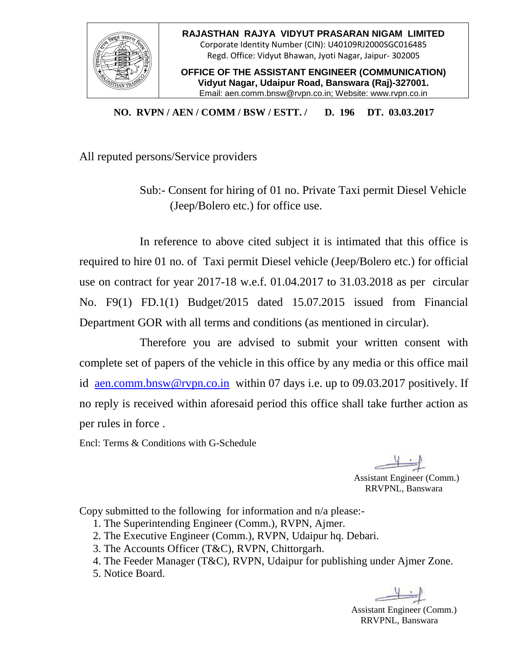

**OFFICE OF THE ASSISTANT ENGINEER (COMMUNICATION) Vidyut Nagar, Udaipur Road, Banswara (Raj)-327001.** Email: aen.comm.bnsw@rvpn.co.in; Website: www.rvpn.co.in

**NO. RVPN / AEN / COMM / BSW / ESTT. / D. 196 DT. 03.03.2017**

All reputed persons/Service providers

Sub:- Consent for hiring of 01 no. Private Taxi permit Diesel Vehicle (Jeep/Bolero etc.) for office use.

In reference to above cited subject it is intimated that this office is required to hire 01 no. of Taxi permit Diesel vehicle (Jeep/Bolero etc.) for official use on contract for year 2017-18 w.e.f. 01.04.2017 to 31.03.2018 as per circular No. F9(1) FD.1(1) Budget/2015 dated 15.07.2015 issued from Financial Department GOR with all terms and conditions (as mentioned in circular).

Therefore you are advised to submit your written consent with complete set of papers of the vehicle in this office by any media or this office mail id [aen.comm.bnsw@rvpn.co.in](mailto:aen.comm.bnsw@rvpn.co.in) within 07 days i.e. up to 09.03.2017 positively. If no reply is received within aforesaid period this office shall take further action as per rules in force .

Encl: Terms & Conditions with G-Schedule

Assistant Engineer (Comm.) RRVPNL, Banswara

Copy submitted to the following for information and n/a please:-

- 1. The Superintending Engineer (Comm.), RVPN, Ajmer.
- 2. The Executive Engineer (Comm.), RVPN, Udaipur hq. Debari.
- 3. The Accounts Officer (T&C), RVPN, Chittorgarh.
- 4. The Feeder Manager (T&C), RVPN, Udaipur for publishing under Ajmer Zone.
- 5. Notice Board.

Assistant Engineer (Comm.) RRVPNL, Banswara